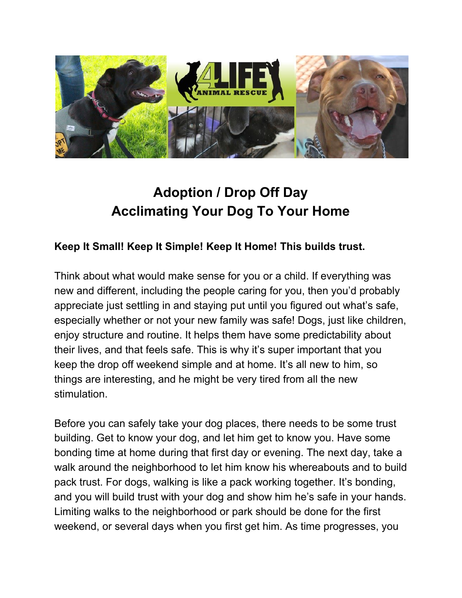

# **Adoption / Drop Off Day Acclimating Your Dog To Your Home**

## **Keep It Small! Keep It Simple! Keep It Home! This builds trust.**

Think about what would make sense for you or a child. If everything was new and different, including the people caring for you, then you'd probably appreciate just settling in and staying put until you figured out what's safe, especially whether or not your new family was safe! Dogs, just like children, enjoy structure and routine. It helps them have some predictability about their lives, and that feels safe. This is why it's super important that you keep the drop off weekend simple and at home. It's all new to him, so things are interesting, and he might be very tired from all the new stimulation.

Before you can safely take your dog places, there needs to be some trust building. Get to know your dog, and let him get to know you. Have some bonding time at home during that first day or evening. The next day, take a walk around the neighborhood to let him know his whereabouts and to build pack trust. For dogs, walking is like a pack working together. It's bonding, and you will build trust with your dog and show him he's safe in your hands. Limiting walks to the neighborhood or park should be done for the first weekend, or several days when you first get him. As time progresses, you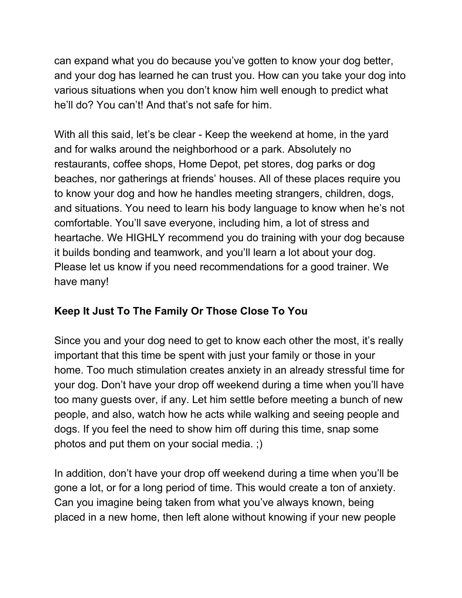can expand what you do because you've gotten to know your dog better, and your dog has learned he can trust you. How can you take your dog into various situations when you don't know him well enough to predict what he'll do? You can't! And that's not safe for him.

With all this said, let's be clear - Keep the weekend at home, in the yard and for walks around the neighborhood or a park. Absolutely no restaurants, coffee shops, Home Depot, pet stores, dog parks or dog beaches, nor gatherings at friends' houses. All of these places require you to know your dog and how he handles meeting strangers, children, dogs, and situations. You need to learn his body language to know when he's not comfortable. You'll save everyone, including him, a lot of stress and heartache. We HIGHLY recommend you do training with your dog because it builds bonding and teamwork, and you'll learn a lot about your dog. Please let us know if you need recommendations for a good trainer. We have many!

### **Keep It Just To The Family Or Those Close To You**

Since you and your dog need to get to know each other the most, it's really important that this time be spent with just your family or those in your home. Too much stimulation creates anxiety in an already stressful time for your dog. Don't have your drop off weekend during a time when you'll have too many guests over, if any. Let him settle before meeting a bunch of new people, and also, watch how he acts while walking and seeing people and dogs. If you feel the need to show him off during this time, snap some photos and put them on your social media. ;)

In addition, don't have your drop off weekend during a time when you'll be gone a lot, or for a long period of time. This would create a ton of anxiety. Can you imagine being taken from what you've always known, being placed in a new home, then left alone without knowing if your new people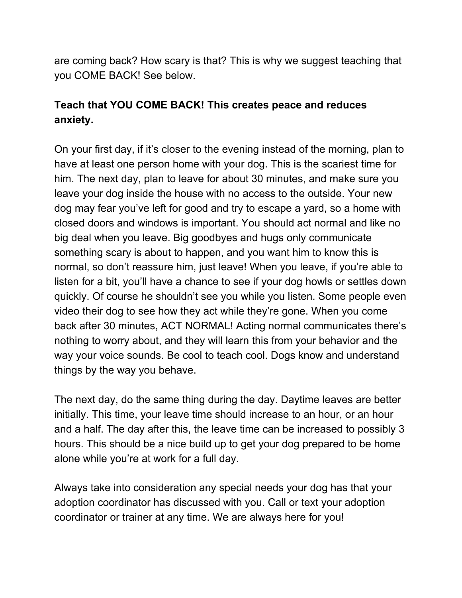are coming back? How scary is that? This is why we suggest teaching that you COME BACK! See below.

## **Teach that YOU COME BACK! This creates peace and reduces anxiety.**

On your first day, if it's closer to the evening instead of the morning, plan to have at least one person home with your dog. This is the scariest time for him. The next day, plan to leave for about 30 minutes, and make sure you leave your dog inside the house with no access to the outside. Your new dog may fear you've left for good and try to escape a yard, so a home with closed doors and windows is important. You should act normal and like no big deal when you leave. Big goodbyes and hugs only communicate something scary is about to happen, and you want him to know this is normal, so don't reassure him, just leave! When you leave, if you're able to listen for a bit, you'll have a chance to see if your dog howls or settles down quickly. Of course he shouldn't see you while you listen. Some people even video their dog to see how they act while they're gone. When you come back after 30 minutes, ACT NORMAL! Acting normal communicates there's nothing to worry about, and they will learn this from your behavior and the way your voice sounds. Be cool to teach cool. Dogs know and understand things by the way you behave.

The next day, do the same thing during the day. Daytime leaves are better initially. This time, your leave time should increase to an hour, or an hour and a half. The day after this, the leave time can be increased to possibly 3 hours. This should be a nice build up to get your dog prepared to be home alone while you're at work for a full day.

Always take into consideration any special needs your dog has that your adoption coordinator has discussed with you. Call or text your adoption coordinator or trainer at any time. We are always here for you!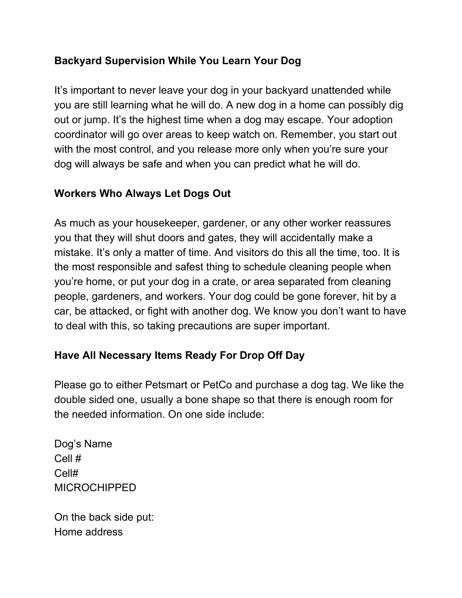## **Backyard Supervision While You Learn Your Dog**

It's important to never leave your dog in your backyard unattended while you are still learning what he will do. A new dog in a home can possibly dig out or jump. It's the highest time when a dog may escape. Your adoption coordinator will go over areas to keep watch on. Remember, you start out with the most control, and you release more only when you're sure your dog will always be safe and when you can predict what he will do.

### **Workers Who Always Let Dogs Out**

As much as your housekeeper, gardener, or any other worker reassures you that they will shut doors and gates, they will accidentally make a mistake. It's only a matter of time. And visitors do this all the time, too. It is the most responsible and safest thing to schedule cleaning people when you're home, or put your dog in a crate, or area separated from cleaning people, gardeners, and workers. Your dog could be gone forever, hit by a car, be attacked, or fight with another dog. We know you don't want to have to deal with this, so taking precautions are super important.

### **Have All Necessary Items Ready For Drop Off Day**

Please go to either Petsmart or PetCo and purchase a dog tag. We like the double sided one, usually a bone shape so that there is enough room for the needed information. On one side include:

Dog's Name Cell # Cell# MICROCHIPPED

On the back side put: Home address